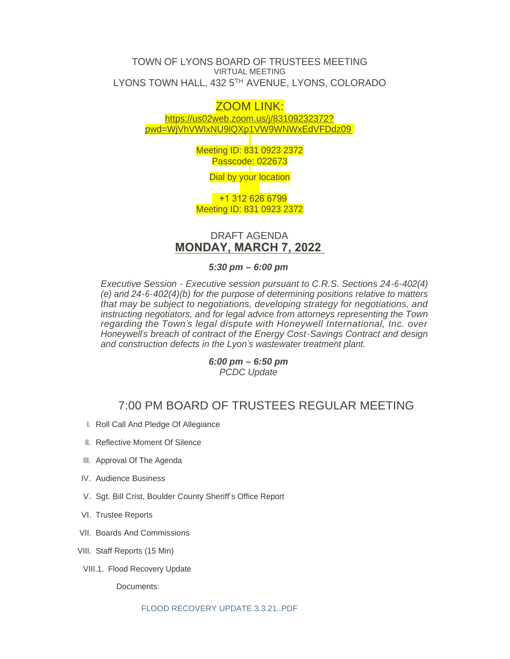## TOWN OF LYONS BOARD OF TRUSTEES MEETING VIRTUAL MEETING LYONS TOWN HALL, 432 5TH AVENUE, LYONS, COLORADO

# ZOOM LINK:

https://us02web.zoom.us/j/83109232372? pwd[=WjVhVWIxNU9lQXp1VW9WNWxEdVFDdz09](https://us02web.zoom.us/j/83109232372?pwd=WjVhVWIxNU9lQXp1VW9WNWxEdVFDdz09)

> Meeting ID: 831 0923 2372 Passcode: 022673

> > Dial by your location

 +1 312 626 6799 Meeting ID: 831 0923 2372

# DRAFT AGENDA **MONDAY, MARCH 7, 2022**

*5:30 pm – 6:00 pm*

*Executive Session - Executive session pursuant to C.R.S. Sections 24-6-402(4) (e) and 24-6-402(4)(b) for the purpose of determining positions relative to matters that may be subject to negotiations, developing strategy for negotiations, and instructing negotiators, and for legal advice from attorneys representing the Town regarding the Town's legal dispute with Honeywell International, Inc. over Honeywell's breach of contract of the Energy Cost-Savings Contract and design and construction defects in the Lyon's wastewater treatment plant.*

> *6:00 pm – 6:50 pm PCDC Update*

# 7:00 PM BOARD OF TRUSTEES REGULAR MEETING

- I. Roll Call And Pledge Of Allegiance
- II. Reflective Moment Of Silence
- III. Approval Of The Agenda
- IV. Audience Business
- V. Sgt. Bill Crist, Boulder County Sheriff's Office Report
- VI. Trustee Reports
- VII. Boards And Commissions
- VIII. Staff Reports (15 Min)
- VIII.1. Flood Recovery Update

Documents: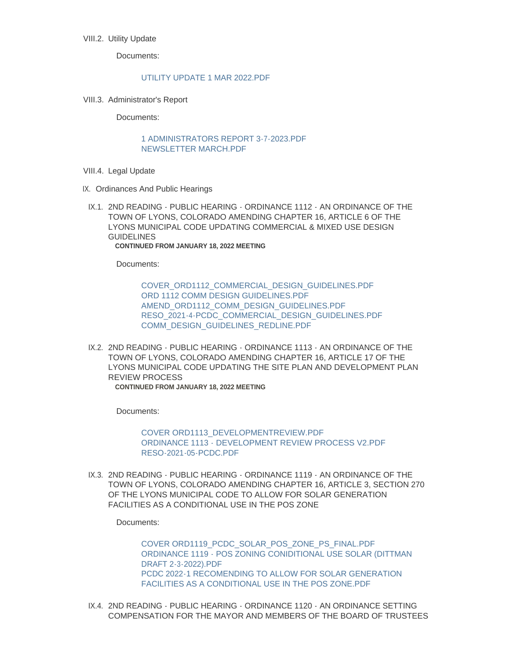## VIII.2. Utility Update

Documents:

### [UTILITY UPDATE 1 MAR 2022.PDF](https://www.townoflyons.com/AgendaCenter/ViewFile/Item/9911?fileID=20510)

VIII.3. Administrator's Report

Documents:

#### [1 ADMINISTRATORS REPORT 3-7-2023.PDF](https://www.townoflyons.com/AgendaCenter/ViewFile/Item/9912?fileID=20507) [NEWSLETTER MARCH.PDF](https://www.townoflyons.com/AgendaCenter/ViewFile/Item/9912?fileID=20508)

- VIII.4. Legal Update
- IX. Ordinances And Public Hearings
- IX.1. 2ND READING PUBLIC HEARING ORDINANCE 1112 AN ORDINANCE OF THE TOWN OF LYONS, COLORADO AMENDING CHAPTER 16, ARTICLE 6 OF THE LYONS MUNICIPAL CODE UPDATING COMMERCIAL & MIXED USE DESIGN GUIDELINES **CONTINUED FROM JANUARY 18, 2022 MEETING**

Documents:

[COVER\\_ORD1112\\_COMMERCIAL\\_DESIGN\\_GUIDELINES.PDF](https://www.townoflyons.com/AgendaCenter/ViewFile/Item/9903?fileID=20481) [ORD 1112 COMM DESIGN GUIDELINES.PDF](https://www.townoflyons.com/AgendaCenter/ViewFile/Item/9903?fileID=20482) [AMEND\\_ORD1112\\_COMM\\_DESIGN\\_GUIDELINES.PDF](https://www.townoflyons.com/AgendaCenter/ViewFile/Item/9903?fileID=20484) [RESO\\_2021-4-PCDC\\_COMMERCIAL\\_DESIGN\\_GUIDELINES.PDF](https://www.townoflyons.com/AgendaCenter/ViewFile/Item/9903?fileID=20483) [COMM\\_DESIGN\\_GUIDELINES\\_REDLINE.PDF](https://www.townoflyons.com/AgendaCenter/ViewFile/Item/9903?fileID=20485)

IX.2. 2ND READING - PUBLIC HEARING - ORDINANCE 1113 - AN ORDINANCE OF THE TOWN OF LYONS, COLORADO AMENDING CHAPTER 16, ARTICLE 17 OF THE LYONS MUNICIPAL CODE UPDATING THE SITE PLAN AND DEVELOPMENT PLAN REVIEW PROCESS **CONTINUED FROM JANUARY 18, 2022 MEETING**

Documents:

[COVER ORD1113\\_DEVELOPMENTREVIEW.PDF](https://www.townoflyons.com/AgendaCenter/ViewFile/Item/9904?fileID=20488) [ORDINANCE 1113 - DEVELOPMENT REVIEW PROCESS V2.PDF](https://www.townoflyons.com/AgendaCenter/ViewFile/Item/9904?fileID=20486) [RESO-2021-05-PCDC.PDF](https://www.townoflyons.com/AgendaCenter/ViewFile/Item/9904?fileID=20487)

IX.3. 2ND READING - PUBLIC HEARING - ORDINANCE 1119 - AN ORDINANCE OF THE TOWN OF LYONS, COLORADO AMENDING CHAPTER 16, ARTICLE 3, SECTION 270 OF THE LYONS MUNICIPAL CODE TO ALLOW FOR SOLAR GENERATION FACILITIES AS A CONDITIONAL USE IN THE POS ZONE

Documents:

[COVER ORD1119\\_PCDC\\_SOLAR\\_POS\\_ZONE\\_PS\\_FINAL.PDF](https://www.townoflyons.com/AgendaCenter/ViewFile/Item/9905?fileID=20489) [ORDINANCE 1119 - POS ZONING CONIDITIONAL USE SOLAR \(DITTMAN](https://www.townoflyons.com/AgendaCenter/ViewFile/Item/9905?fileID=20490)  DRAFT 2-3-2022).PDF [PCDC 2022-1 RECOMENDING TO ALLOW FOR SOLAR GENERATION](https://www.townoflyons.com/AgendaCenter/ViewFile/Item/9905?fileID=20491)  FACILITIES AS A CONDITIONAL USE IN THE POS ZONE.PDF

IX.4. 2ND READING - PUBLIC HEARING - ORDINANCE 1120 - AN ORDINANCE SETTING COMPENSATION FOR THE MAYOR AND MEMBERS OF THE BOARD OF TRUSTEES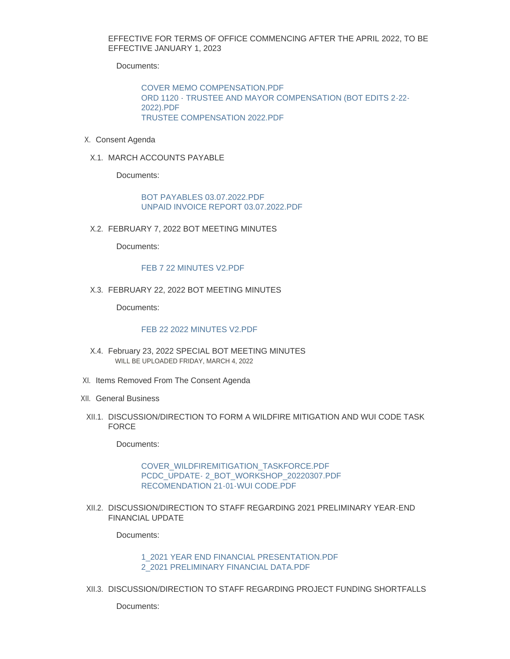EFFECTIVE FOR TERMS OF OFFICE COMMENCING AFTER THE APRIL 2022, TO BE EFFECTIVE JANUARY 1, 2023

Documents:

[COVER MEMO COMPENSATION.PDF](https://www.townoflyons.com/AgendaCenter/ViewFile/Item/9906?fileID=20471) [ORD 1120 - TRUSTEE AND MAYOR COMPENSATION \(BOT EDITS 2-22-](https://www.townoflyons.com/AgendaCenter/ViewFile/Item/9906?fileID=20472) 2022).PDF [TRUSTEE COMPENSATION 2022.PDF](https://www.townoflyons.com/AgendaCenter/ViewFile/Item/9906?fileID=20470)

- X. Consent Agenda
- X.1. MARCH ACCOUNTS PAYABLE

Documents:

[BOT PAYABLES 03.07.2022.PDF](https://www.townoflyons.com/AgendaCenter/ViewFile/Item/9907?fileID=20473) [UNPAID INVOICE REPORT 03.07.2022.PDF](https://www.townoflyons.com/AgendaCenter/ViewFile/Item/9907?fileID=20474)

FEBRUARY 7, 2022 BOT MEETING MINUTES X.2.

Documents:

#### [FEB 7 22 MINUTES V2.PDF](https://www.townoflyons.com/AgendaCenter/ViewFile/Item/9908?fileID=20475)

FEBRUARY 22, 2022 BOT MEETING MINUTES X.3.

Documents:

#### [FEB 22 2022 MINUTES V2.PDF](https://www.townoflyons.com/AgendaCenter/ViewFile/Item/9909?fileID=20476)

- X.4. February 23, 2022 SPECIAL BOT MEETING MINUTES WILL BE UPLOADED FRIDAY, MARCH 4, 2022
- XI. Items Removed From The Consent Agenda
- XII. General Business
- XII.1. DISCUSSION/DIRECTION TO FORM A WILDFIRE MITIGATION AND WUI CODE TASK FORCE

Documents:

### [COVER\\_WILDFIREMITIGATION\\_TASKFORCE.PDF](https://www.townoflyons.com/AgendaCenter/ViewFile/Item/9914?fileID=20511) [PCDC\\_UPDATE- 2\\_BOT\\_WORKSHOP\\_20220307.PDF](https://www.townoflyons.com/AgendaCenter/ViewFile/Item/9914?fileID=20512) [RECOMENDATION 21-01-WUI CODE.PDF](https://www.townoflyons.com/AgendaCenter/ViewFile/Item/9914?fileID=20513)

XII.2. DISCUSSION/DIRECTION TO STAFF REGARDING 2021 PRELIMINARY YEAR-END FINANCIAL UPDATE

Documents:

[1\\_2021 YEAR END FINANCIAL PRESENTATION.PDF](https://www.townoflyons.com/AgendaCenter/ViewFile/Item/9915?fileID=20477) [2\\_2021 PRELIMINARY FINANCIAL DATA.PDF](https://www.townoflyons.com/AgendaCenter/ViewFile/Item/9915?fileID=20478)

XII.3. DISCUSSION/DIRECTION TO STAFF REGARDING PROJECT FUNDING SHORTFALLS

Documents: